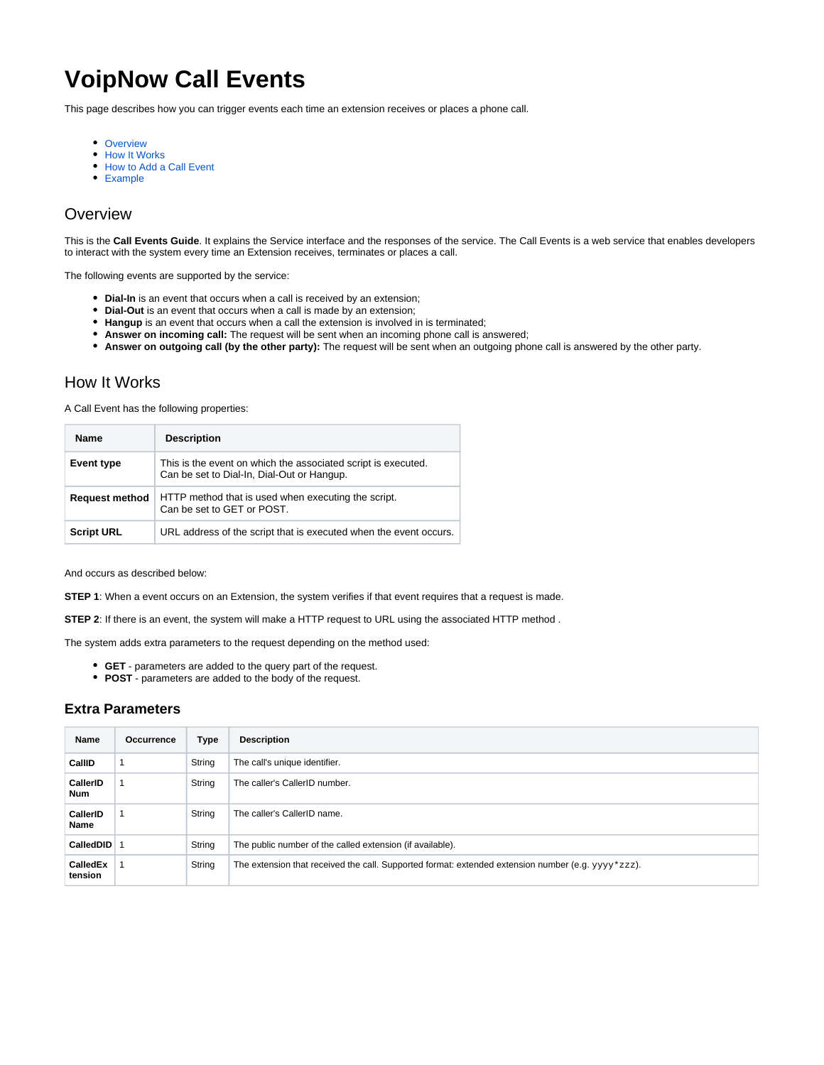# **VoipNow Call Events**

This page describes how you can trigger events each time an extension receives or places a phone call.

- [Overview](#page-0-0)
- [How It Works](#page-0-1)
- [How to Add a Call Event](#page-1-0)
- [Example](#page-1-1)

# <span id="page-0-0"></span>**Overview**

This is the **Call Events Guide**. It explains the Service interface and the responses of the service. The Call Events is a web service that enables developers to interact with the system every time an Extension receives, terminates or places a call.

The following events are supported by the service:

- **Dial-In** is an event that occurs when a call is received by an extension;
- **Dial-Out** is an event that occurs when a call is made by an extension;
- **Hangup** is an event that occurs when a call the extension is involved in is terminated;
- **Answer on incoming call:** The request will be sent when an incoming phone call is answered;
- **Answer on outgoing call (by the other party):** The request will be sent when an outgoing phone call is answered by the other party.

## <span id="page-0-1"></span>How It Works

A Call Event has the following properties:

| <b>Name</b>           | <b>Description</b>                                                                                          |
|-----------------------|-------------------------------------------------------------------------------------------------------------|
| Event type            | This is the event on which the associated script is executed.<br>Can be set to Dial-In, Dial-Out or Hangup. |
| <b>Request method</b> | HTTP method that is used when executing the script.<br>Can be set to GET or POST.                           |
| <b>Script URL</b>     | URL address of the script that is executed when the event occurs.                                           |

And occurs as described below:

**STEP 1**: When a event occurs on an Extension, the system verifies if that event requires that a request is made.

**STEP 2**: If there is an event, the system will make a HTTP request to URL using the associated HTTP method .

The system adds extra parameters to the request depending on the method used:

- **GET** parameters are added to the query part of the request.
- **POST** parameters are added to the body of the request.

#### **Extra Parameters**

| Name                   | Occurrence | Type   | <b>Description</b>                                                                                    |
|------------------------|------------|--------|-------------------------------------------------------------------------------------------------------|
| CallID                 | 1          | String | The call's unique identifier.                                                                         |
| CallerID<br><b>Num</b> |            | String | The caller's CallerID number.                                                                         |
| CallerID<br>Name       |            | String | The caller's CallerID name.                                                                           |
| CalledDID 1            |            | String | The public number of the called extension (if available).                                             |
| CalledEx<br>tension    |            | String | The extension that received the call. Supported format: extended extension number (e.g. $yyyy*zzz$ ). |